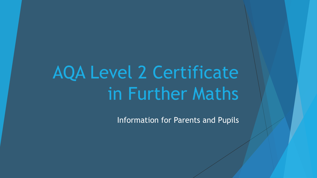# AQA Level 2 Certificate in Further Maths

Information for Parents and Pupils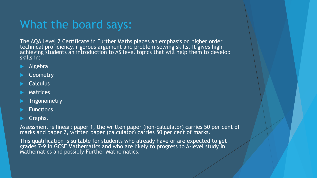## What the board says:

The AQA Level 2 Certificate in Further Maths places an emphasis on higher order technical proficiency, rigorous argument and problem-solving skills. It gives high achieving students an introduction to AS level topics that will help them to develop skills in:

- Algebra
- **Geometry**
- **Calculus**
- Matrices
- **Trigonometry**
- Functions
- Graphs.

Assessment is linear: paper 1, the written paper (non-calculator) carries 50 per cent of marks and paper 2, written paper (calculator) carries 50 per cent of marks.

This qualification is suitable for students who already have or are expected to get grades 7-9 in GCSE Mathematics and who are likely to progress to A-level study in Mathematics and possibly Further Mathematics.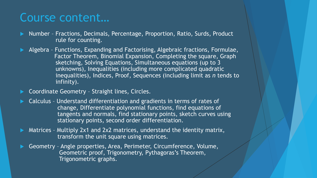### Course content…

- Number Fractions, Decimals, Percentage, Proportion, Ratio, Surds, Product rule for counting.
- Algebra Functions, Expanding and Factorising, Algebraic fractions, Formulae, Factor Theorem, Binomial Expansion, Completing the square, Graph sketching, Solving Equations, Simultaneous equations (up to 3 unknowns), Inequalities (including more complicated quadratic inequalities), Indices, Proof, Sequences (including limit as *n* tends to infinity).
- Coordinate Geometry Straight lines, Circles.
- Calculus Understand differentiation and gradients in terms of rates of change, Differentiate polynomial functions, find equations of tangents and normals, find stationary points, sketch curves using stationary points, second order differentiation.
- Matrices Multiply 2x1 and 2x2 matrices, understand the identity matrix, transform the unit square using matrices.
- Geometry Angle properties, Area, Perimeter, Circumference, Volume, Geometric proof, Trigonometry, Pythagoras's Theorem, Trigonometric graphs.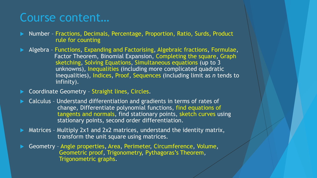### Course content…

- Number Fractions, Decimals, Percentage, Proportion, Ratio, Surds, Product rule for counting
- Algebra Functions, Expanding and Factorising, Algebraic fractions, Formulae, Factor Theorem, Binomial Expansion, Completing the square, Graph sketching, Solving Equations, Simultaneous equations (up to 3 unknowns), Inequalities (including more complicated quadratic inequalities), Indices, Proof, Sequences (including limit as *n* tends to infinity).
- Coordinate Geometry Straight lines, Circles.
- Calculus Understand differentiation and gradients in terms of rates of change, Differentiate polynomial functions, find equations of tangents and normals, find stationary points, sketch curves using stationary points, second order differentiation.
- Matrices Multiply 2x1 and 2x2 matrices, understand the identity matrix, transform the unit square using matrices.
- Geometry Angle properties, Area, Perimeter, Circumference, Volume, Geometric proof, Trigonometry, Pythagoras's Theorem, Trigonometric graphs.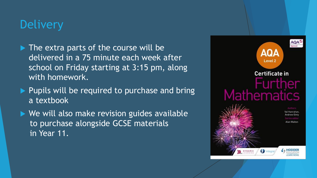## **Delivery**

- $\blacktriangleright$  The extra parts of the course will be delivered in a 75 minute each week after school on Friday starting at 3:15 pm, along with homework.
- $\blacktriangleright$  Pupils will be required to purchase and bring a textbook
- ▶ We will also make revision guides available to purchase alongside GCSE materials in Year 11.

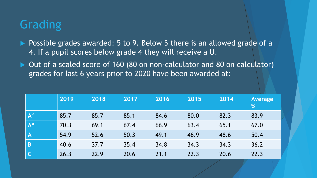# **Grading**

- ▶ Possible grades awarded: 5 to 9. Below 5 there is an allowed grade of a 4. If a pupil scores below grade 4 they will receive a U.
- ▶ Out of a scaled score of 160 (80 on non-calculator and 80 on calculator) grades for last 6 years prior to 2020 have been awarded at:

|                         | 2019 | 2018 | 2017 | 2016 | 2015 | 2014 | <b>Average</b><br>% |
|-------------------------|------|------|------|------|------|------|---------------------|
| $\Lambda^{\wedge}$      | 85.7 | 85.7 | 85.1 | 84.6 | 80.0 | 82.3 | 83.9                |
| $\mathsf{A}^*$          | 70.3 | 69.1 | 67.4 | 66.9 | 63.4 | 65.1 | 67.0                |
| $\overline{\mathsf{A}}$ | 54.9 | 52.6 | 50.3 | 49.1 | 46.9 | 48.6 | 50.4                |
| $\overline{B}$          | 40.6 | 37.7 | 35.4 | 34.8 | 34.3 | 34.3 | 36.2                |
| $\mathsf{C}$            | 26.3 | 22.9 | 20.6 | 21.1 | 22.3 | 20.6 | 22.3                |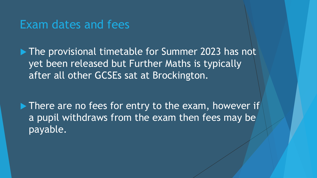#### Exam dates and fees

▶ The provisional timetable for Summer 2023 has not yet been released but Further Maths is typically after all other GCSEs sat at Brockington.

There are no fees for entry to the exam, however if a pupil withdraws from the exam then fees may be payable.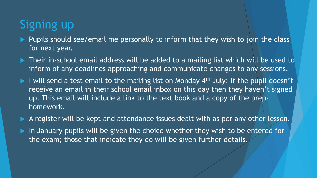## Signing up

- Pupils should see/email me personally to inform that they wish to join the class for next year.
- ▶ Their in-school email address will be added to a mailing list which will be used to inform of any deadlines approaching and communicate changes to any sessions.
- $\blacktriangleright$  I will send a test email to the mailing list on Monday 4<sup>th</sup> July; if the pupil doesn't receive an email in their school email inbox on this day then they haven't signed up. This email will include a link to the text book and a copy of the prephomework.
- A register will be kept and attendance issues dealt with as per any other lesson.
- In January pupils will be given the choice whether they wish to be entered for the exam; those that indicate they do will be given further details.